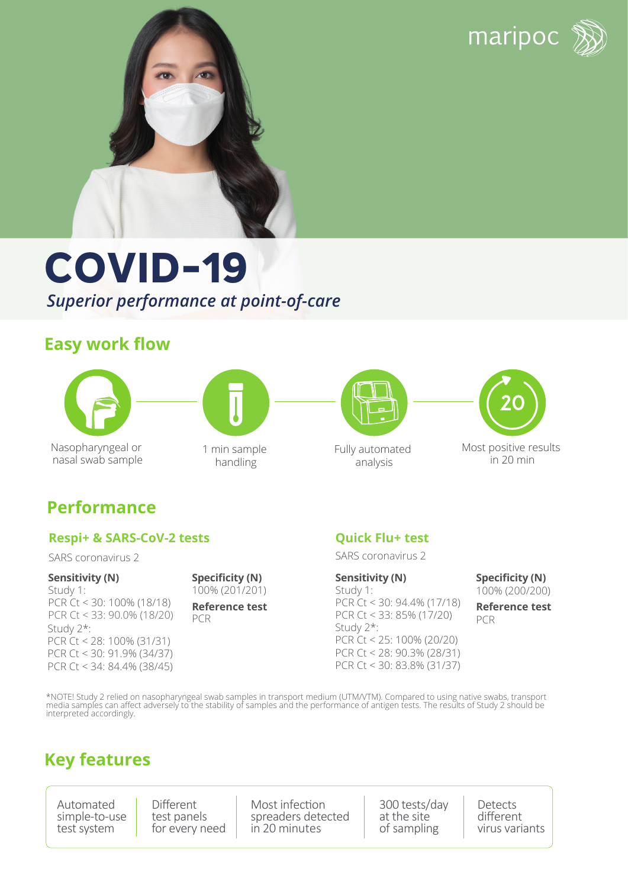maripoc





# **COVID-19** *Superior performance at point-of-care*

## **Easy work flow**





Nasopharyngeal or nasal swab sample 1 min sample handling



Fully automated analysis



Most positive results in 20 min

## **Performance**

#### **Respi+ & SARS-CoV-2 tests**

SARS coronavirus 2

#### **Sensitivity (N)**

Study 1: PCR Ct < 30: 100% (18/18) PCR Ct < 33: 90.0% (18/20) Study 2\*: PCR Ct < 28: 100% (31/31) PCR Ct < 30: 91.9% (34/37) PCR Ct < 34: 84.4% (38/45) 100% (201/201) **Specificity (N)**

**Reference test** PCR

#### **Quick Flu+ test**

SARS coronavirus 2

Study 1: PCR Ct < 30: 94.4% (17/18) PCR Ct < 33: 85% (17/20) **Sensitivity (N)** Study 2\*: PCR Ct < 25: 100% (20/20) PCR Ct < 28: 90.3% (28/31) PCR Ct < 30: 83.8% (31/37)

100% (200/200) **Specificity (N)**

**Reference test** PCR

\*NOTE! Study 2 relied on nasopharyngeal swab samples in transport medium (UTM/VTM). Compared to using native swabs, transport<br>media samples can affect adversely to the stability of samples and the performance of antigen te

## **Key features**

Automated simple-to-use test system

Different test panels for every need Most infection spreaders detected in 20 minutes

300 tests/day at the site of sampling

Detects different virus variants